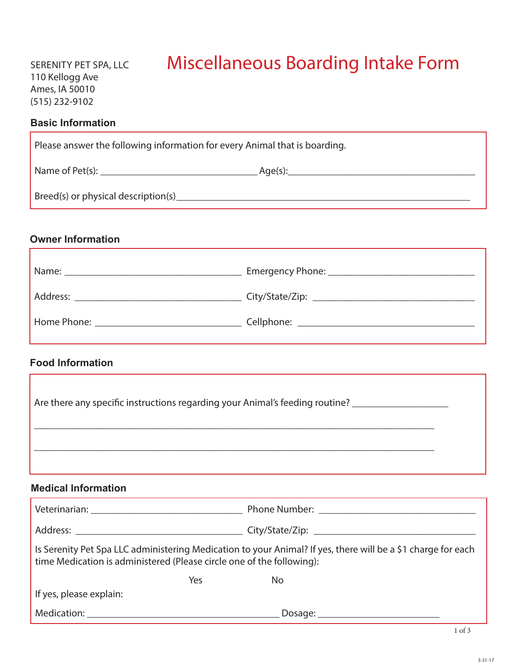# Miscellaneous Boarding Intake Form

#### **Basic Information**

| Please answer the following information for every Animal that is boarding. |         |  |
|----------------------------------------------------------------------------|---------|--|
| Name of Pet(s):                                                            | Age(s): |  |
| Breed(s) or physical description(s)                                        |         |  |

# **Owner Information**

| Address:                                                                                                                                                                                                                       |  |
|--------------------------------------------------------------------------------------------------------------------------------------------------------------------------------------------------------------------------------|--|
| Home Phone: The Contract of the Contract of the Contract of the Contract of the Contract of the Contract of the Contract of the Contract of the Contract of the Contract of the Contract of the Contract of the Contract of th |  |

# **Food Information**

| Are there any specific instructions regarding your Animal's feeding routine? |  |
|------------------------------------------------------------------------------|--|
|                                                                              |  |

### **Medical Information**

| Is Serenity Pet Spa LLC administering Medication to your Animal? If yes, there will be a \$1 charge for each<br>time Medication is administered (Please circle one of the following):                                          |    |  |
|--------------------------------------------------------------------------------------------------------------------------------------------------------------------------------------------------------------------------------|----|--|
| Yes                                                                                                                                                                                                                            | No |  |
| If yes, please explain:                                                                                                                                                                                                        |    |  |
| Medication: New York Products and Security and Security and Security and Security and Security and Security and Security and Security and Security and Security and Security and Security and Security and Security and Securi |    |  |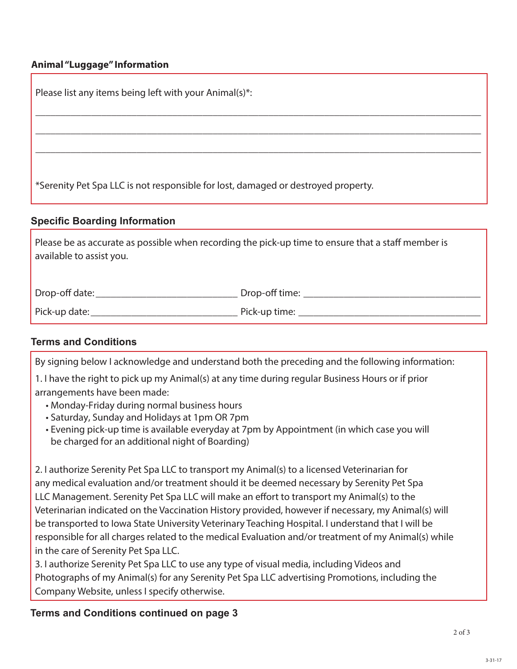## **Animal "Luggage" Information**

| Please list any items being left with your Animal(s)*:                                                                         |
|--------------------------------------------------------------------------------------------------------------------------------|
|                                                                                                                                |
|                                                                                                                                |
| *Serenity Pet Spa LLC is not responsible for lost, damaged or destroyed property.                                              |
| <b>Specific Boarding Information</b>                                                                                           |
| Please be as accurate as possible when recording the pick-up time to ensure that a staff member is<br>available to assist you. |

| Drop-off date: | Drop-off time: |
|----------------|----------------|
| Pick-up date:  | Pick-up time:  |

# **Terms and Conditions**

By signing below I acknowledge and understand both the preceding and the following information:

- 1. I have the right to pick up my Animal(s) at any time during regular Business Hours or if prior arrangements have been made:
	- Monday-Friday during normal business hours
	- Saturday, Sunday and Holidays at 1pm OR 7pm
	- Evening pick-up time is available everyday at 7pm by Appointment (in which case you will be charged for an additional night of Boarding)

2. I authorize Serenity Pet Spa LLC to transport my Animal(s) to a licensed Veterinarian for any medical evaluation and/or treatment should it be deemed necessary by Serenity Pet Spa LLC Management. Serenity Pet Spa LLC will make an effort to transport my Animal(s) to the Veterinarian indicated on the Vaccination History provided, however if necessary, my Animal(s) will be transported to Iowa State University Veterinary Teaching Hospital. I understand that I will be responsible for all charges related to the medical Evaluation and/or treatment of my Animal(s) while in the care of Serenity Pet Spa LLC.

3. I authorize Serenity Pet Spa LLC to use any type of visual media, including Videos and Photographs of my Animal(s) for any Serenity Pet Spa LLC advertising Promotions, including the Company Website, unless I specify otherwise.

## **Terms and Conditions continued on page 3**